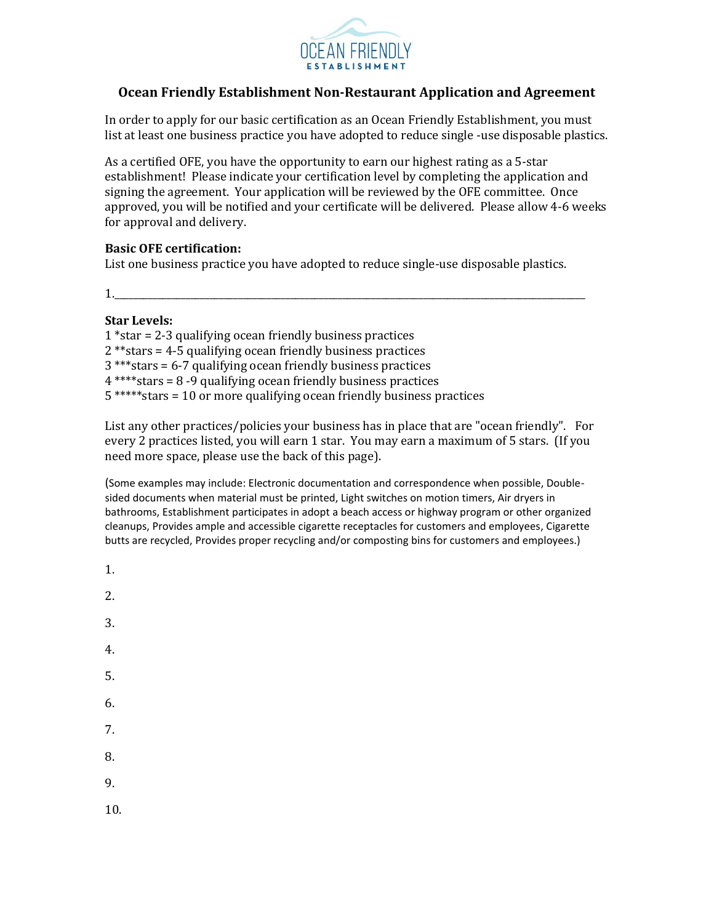

## **Ocean Friendly Establishment Non-Restaurant Application and Agreement**

In order to apply for our basic certification as an Ocean Friendly Establishment, you must list at least one business practice you have adopted to reduce single -use disposable plastics.

As a certified OFE, you have the opportunity to earn our highest rating as a 5-star establishment! Please indicate your certification level by completing the application and signing the agreement. Your application will be reviewed by the OFE committee. Once approved, you will be notified and your certificate will be delivered. Please allow 4-6 weeks for approval and delivery.

## **Basic OFE certification:**

List one business practice you have adopted to reduce single-use disposable plastics.

1.\_\_\_\_\_\_\_\_\_\_\_\_\_\_\_\_\_\_\_\_\_\_\_\_\_\_\_\_\_\_\_\_\_\_\_\_\_\_\_\_\_\_\_\_\_\_\_\_\_\_\_\_\_\_\_\_\_\_\_\_\_\_\_\_\_\_\_\_\_\_\_\_\_\_\_\_\_\_\_\_\_\_\_\_\_\_\_\_\_\_\_\_\_\_\_\_\_\_\_

## **Star Levels:**

1 \*star = 2-3 qualifying ocean friendly business practices 2 \*\*stars = 4-5 qualifying ocean friendly business practices 3 \*\*\*stars = 6-7 qualifying ocean friendly business practices 4 \*\*\*\*stars = 8 -9 qualifying ocean friendly business practices 5 \*\*\*\*\*stars = 10 or more qualifying ocean friendly business practices

List any other practices/policies your business has in place that are "ocean friendly". For every 2 practices listed, you will earn 1 star. You may earn a maximum of 5 stars. (If you need more space, please use the back of this page).

(Some examples may include: Electronic documentation and correspondence when possible, Doublesided documents when material must be printed, Light switches on motion timers, Air dryers in bathrooms, Establishment participates in adopt a beach access or highway program or other organized cleanups, Provides ample and accessible cigarette receptacles for customers and employees, Cigarette butts are recycled, Provides proper recycling and/or composting bins for customers and employees.)

- 1.
- 2.
- 3.
- 
- 4.
- 5.
- 6.
- 7.
- 
- 8.
- 9.
- 10.